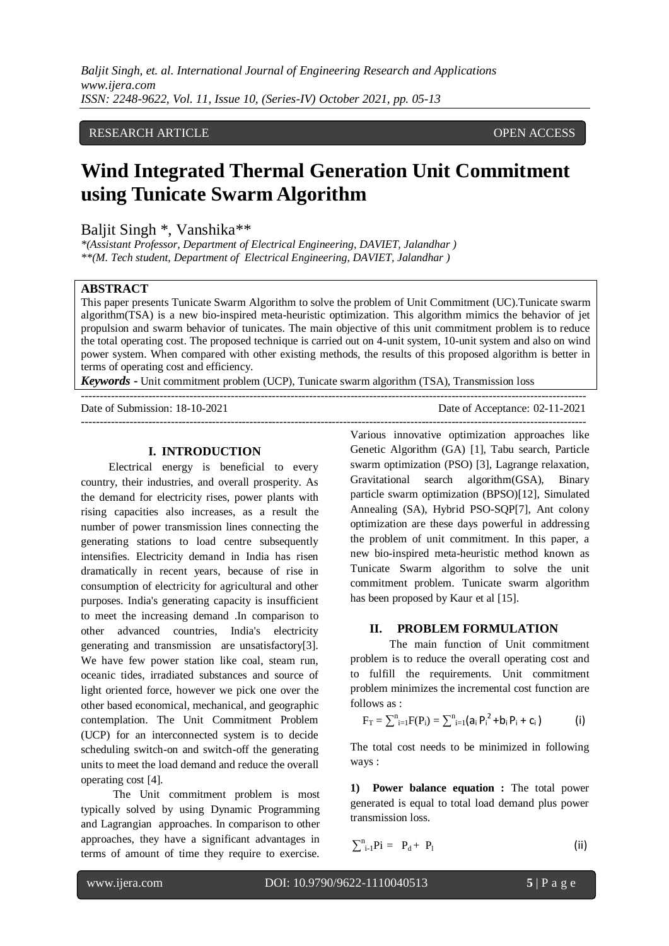## RESEARCH ARTICLE **CONSERVERS** OPEN ACCESS

# **Wind Integrated Thermal Generation Unit Commitment using Tunicate Swarm Algorithm**

Baljit Singh \*, Vanshika\*\*

*\*(Assistant Professor, Department of Electrical Engineering, DAVIET, Jalandhar ) \*\*(M. Tech student, Department of Electrical Engineering, DAVIET, Jalandhar )*

## **ABSTRACT**

This paper presents Tunicate Swarm Algorithm to solve the problem of Unit Commitment (UC).Tunicate swarm algorithm(TSA) is a new bio-inspired meta-heuristic optimization. This algorithm mimics the behavior of jet propulsion and swarm behavior of tunicates. The main objective of this unit commitment problem is to reduce the total operating cost. The proposed technique is carried out on 4-unit system, 10-unit system and also on wind power system. When compared with other existing methods, the results of this proposed algorithm is better in terms of operating cost and efficiency.

---------------------------------------------------------------------------------------------------------------------------------------

---------------------------------------------------------------------------------------------------------------------------------------

*Keywords* **-** Unit commitment problem (UCP), Tunicate swarm algorithm (TSA), Transmission loss

Date of Submission: 18-10-2021 Date of Acceptance: 02-11-2021

#### **I. INTRODUCTION**

 Electrical energy is beneficial to every country, their industries, and overall prosperity. As the demand for electricity rises, power plants with rising capacities also increases, as a result the number of power transmission lines connecting the generating stations to load centre subsequently intensifies. Electricity demand in India has risen dramatically in recent years, because of rise in consumption of electricity for agricultural and other purposes. India's generating capacity is insufficient to meet the increasing demand .In comparison to other advanced countries, India's electricity generating and transmission are unsatisfactory[3]. We have few power station like coal, steam run, oceanic tides, irradiated substances and source of light oriented force, however we pick one over the other based economical, mechanical, and geographic contemplation. The Unit Commitment Problem (UCP) for an interconnected system is to decide scheduling switch-on and switch-off the generating units to meet the load demand and reduce the overall operating cost [4].

The Unit commitment problem is most typically solved by using Dynamic Programming and Lagrangian approaches. In comparison to other approaches, they have a significant advantages in terms of amount of time they require to exercise.

Various innovative optimization approaches like Genetic Algorithm (GA) [1], Tabu search, Particle swarm optimization (PSO) [3], Lagrange relaxation, Gravitational search algorithm(GSA), Binary particle swarm optimization (BPSO)[12], Simulated Annealing (SA), Hybrid PSO-SQP[7], Ant colony optimization are these days powerful in addressing the problem of unit commitment. In this paper, a new bio-inspired meta-heuristic method known as Tunicate Swarm algorithm to solve the unit commitment problem. Tunicate swarm algorithm has been proposed by Kaur et al [15].

### **II. PROBLEM FORMULATION**

 The main function of Unit commitment problem is to reduce the overall operating cost and to fulfill the requirements. Unit commitment problem minimizes the incremental cost function are follows as :

$$
F_T = \textstyle\sum_{i=1}^n F(P_i) = \textstyle\sum_{i=1}^n (a_i \, {P_i}^2 + b_i \, P_i + c_i \, ) \qquad \qquad (i)
$$

The total cost needs to be minimized in following ways :

**1) Power balance equation :** The total power generated is equal to total load demand plus power transmission loss.

 $\sum_{i=1}^{n} P_i = P_d + P_1$  (ii)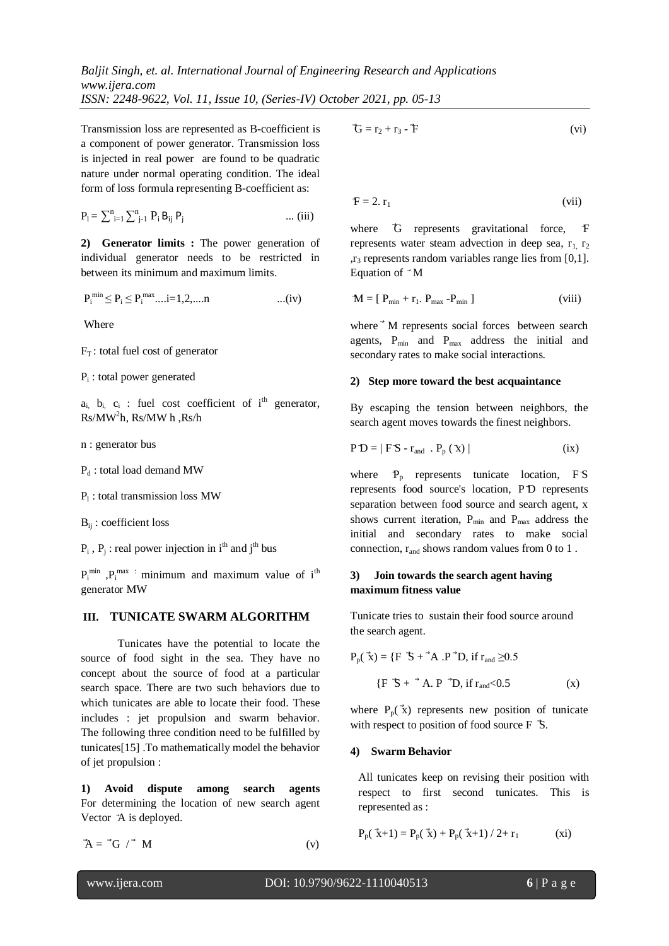Transmission loss are represented as B-coefficient is a component of power generator. Transmission loss is injected in real power are found to be quadratic nature under normal operating condition. The ideal form of loss formula representing B-coefficient as:

$$
P_{l} = \sum_{i=1}^{n} \sum_{j=1}^{n} P_{i} B_{ij} P_{j} \qquad \qquad \dots (iii)
$$

**2) Generator limits :** The power generation of individual generator needs to be restricted in between its minimum and maximum limits.

$$
P_i^{\min} \le P_i \le P_i^{\max} \dots i = 1, 2, \dots n
$$
 ... (iv)

Where

 $F_T$ : total fuel cost of generator

Pi : total power generated

 $a_{i}$ ,  $b_{i}$ ,  $c_{i}$ : fuel cost coefficient of i<sup>th</sup> generator, Rs/MW<sup>2</sup> h, Rs/MW h ,Rs/h

n : generator bus

P<sub>d</sub>: total load demand MW

P<sub>1</sub>: total transmission loss MW

Bij : coefficient loss

 $P_i$ ,  $P_j$ : real power injection in i<sup>th</sup> and j<sup>th</sup> bus

 $P_i^{min}$ ,  $P_i^{max}$  : minimum and maximum value of  $i^{th}$ generator MW

#### **III. TUNICATE SWARM ALGORITHM**

 Tunicates have the potential to locate the source of food sight in the sea. They have no concept about the source of food at a particular search space. There are two such behaviors due to which tunicates are able to locate their food. These includes : jet propulsion and swarm behavior. The following three condition need to be fulfilled by tunicates[15] .To mathematically model the behavior of jet propulsion :

**1) Avoid dispute among search agents**  For determining the location of new search agent Vector  $A$  is deployed.

$$
\mathbf{A} = \mathbf{A} \mathbf{G} \quad \mathbf{A} \tag{v}
$$

$$
\mathbf{\hat{G}} = \mathbf{r}_2 + \mathbf{r}_3 - \mathbf{\hat{F}} \tag{vi}
$$

$$
F = 2. r_1
$$
 (vii)

where G represents gravitational force, F represents water steam advection in deep sea,  $r_1$ ,  $r_2$  $r_3$  represents random variables range lies from [0,1]. Equation of  $^{\rightarrow}$  M

$$
\mathbf{M} = [P_{\min} + r_1, P_{\max} - P_{\min}]
$$
 (viii)

where<sup>+</sup> M represents social forces between search agents, P<sub>min</sub> and P<sub>max</sub> address the initial and secondary rates to make social interactions.

#### **2) Step more toward the best acquaintance**

By escaping the tension between neighbors, the search agent moves towards the finest neighbors.

$$
P D = | F S - r_{and} . P_p (\mathbf{\hat{x}}) |
$$
 (ix)

where  $P_p$  represents tunicate location,  $FS$ represents food source's location, P D represents separation between food source and search agent, x shows current iteration,  $P_{min}$  and  $P_{max}$  address the initial and secondary rates to make social connection,  $r_{and}$  shows random values from 0 to 1.

### **3) Join towards the search agent having maximum fitness value**

Tunicate tries to sustain their food source around the search agent.

$$
P_p(\vec{x}) = \{F \vec{S} + \vec{A} \cdot P \vec{D}, \text{ if } r_{\text{and}} \ge 0.5
$$

$$
\{F \vec{S} + \vec{A} \cdot P \vec{D}, \text{ if } r_{\text{and}} < 0.5 \tag{x}
$$

where  $P_p(\vec{x})$  represents new position of tunicate with respect to position of food source F  $\bar{S}$ .

#### **4) Swarm Behavior**

All tunicates keep on revising their position with respect to first second tunicates. This is represented as :

$$
P_p(\vec{x}+1) = P_p(\vec{x}) + P_p(\vec{x}+1) / 2 + r_1
$$
 (xi)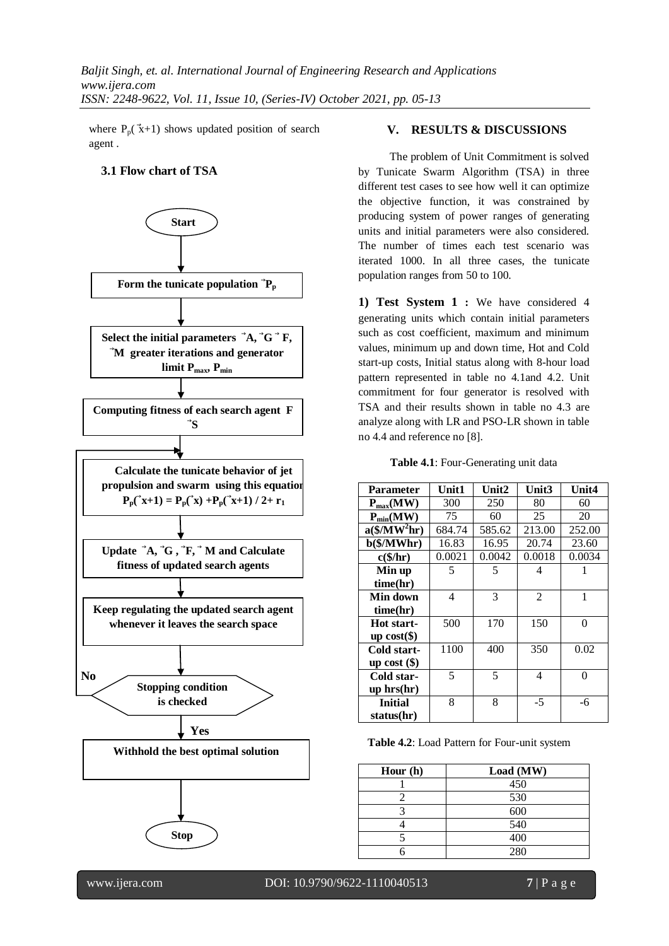where  $P_p(\vec{x}+1)$  shows updated position of search agent .

### **3.1 Flow chart of TSA**



### **V. RESULTS & DISCUSSIONS**

 The problem of Unit Commitment is solved by Tunicate Swarm Algorithm (TSA) in three different test cases to see how well it can optimize the objective function, it was constrained by producing system of power ranges of generating units and initial parameters were also considered. The number of times each test scenario was iterated 1000. In all three cases, the tunicate population ranges from 50 to 100.

**1) Test System 1 :** We have considered 4 generating units which contain initial parameters such as cost coefficient, maximum and minimum values, minimum up and down time, Hot and Cold start-up costs, Initial status along with 8-hour load pattern represented in table no 4.1and 4.2. Unit commitment for four generator is resolved with TSA and their results shown in table no 4.3 are analyze along with LR and PSO-LR shown in table no 4.4 and reference no [8].

**Table 4.1**: Four-Generating unit data

| <b>Parameter</b>            | Unit1  | Unit2  | Unit3          | Unit4  |  |
|-----------------------------|--------|--------|----------------|--------|--|
| $P_{max}(MW)$               | 300    | 250    | 80             | 60     |  |
| $P_{min}(MW)$               | 75     | 60     | 25             | 20     |  |
| $a$ (\$/MW <sup>2</sup> hr) | 684.74 | 585.62 | 213.00         | 252.00 |  |
| $b$ (\$/MWhr)               | 16.83  | 16.95  | 20.74          | 23.60  |  |
| $c$ (\$/hr)                 | 0.0021 | 0.0042 | 0.0018         | 0.0034 |  |
| Min up                      | 5      | 5      | 4              | 1      |  |
| time(hr)                    |        |        |                |        |  |
| Min down                    | 4      | 3      | $\mathfrak{D}$ | 1      |  |
| time(hr)                    |        |        |                |        |  |
| Hot start-                  | 500    | 170    | 150            | 0      |  |
| up $cost(\$)$               |        |        |                |        |  |
| Cold start-                 | 1100   | 400    | 350            | 0.02   |  |
| up cost $(\$)$              |        |        |                |        |  |
| Cold star-                  | 5      | 5      | 4              | 0      |  |
| up hrs(hr)                  |        |        |                |        |  |
| <b>Initial</b>              | 8      | 8      | $-5$           | -6     |  |
| status(hr)                  |        |        |                |        |  |

**Table 4.2**: Load Pattern for Four-unit system

| Hour $(h)$ | Load (MW) |
|------------|-----------|
|            | 450       |
|            | 530       |
|            | 600       |
|            | 540       |
|            | 400       |
|            | 280       |

l

www.ijera.com DOI: 10.9790/9622-1110040513 **7** | P a g e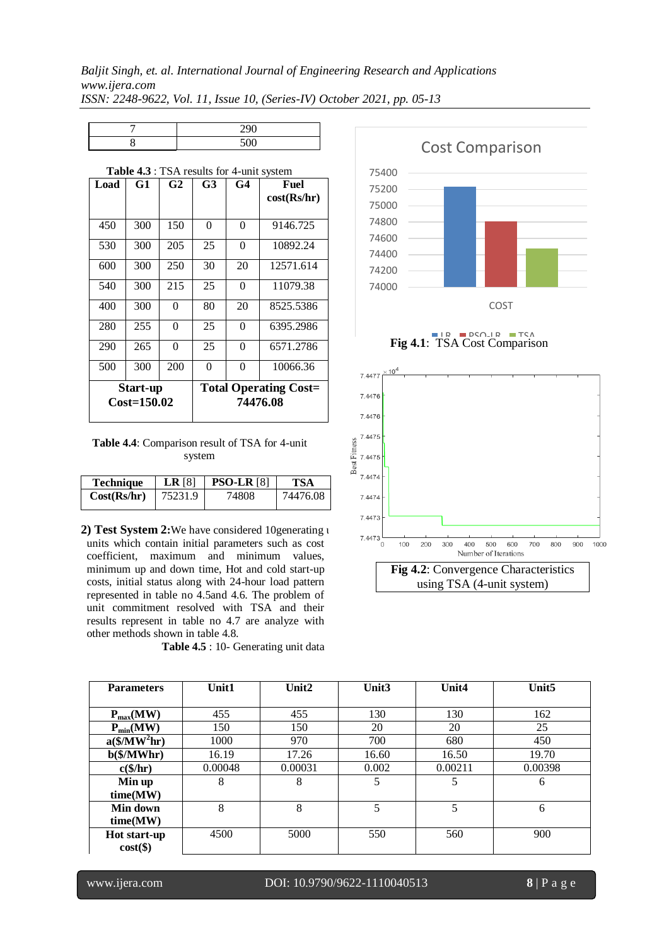| $\sim$ $\sim$ |
|---------------|
|               |

| Table 4.3 : TSA results for 4-unit system |     |                |          |          |                                          |  |  |
|-------------------------------------------|-----|----------------|----------|----------|------------------------------------------|--|--|
| Load                                      | G1  | G <sub>2</sub> | G3       | G4       | Fuel<br>cost(Rs/hr)                      |  |  |
| 450                                       | 300 | 150            | $\Omega$ | 0        | 9146.725                                 |  |  |
| 530                                       | 300 | 205            | 25       | 0        | 10892.24                                 |  |  |
| 600                                       | 300 | 250            | 30       | 20       | 12571.614                                |  |  |
| 540                                       | 300 | 215            | 25       | 0        | 11079.38                                 |  |  |
| 400                                       | 300 | 0              | 80       | 20       | 8525.5386                                |  |  |
| 280                                       | 255 | 0              | 25       | 0        | 6395.2986                                |  |  |
| 290                                       | 265 | $\Omega$       | 25       | $\Omega$ | 6571.2786                                |  |  |
| 500                                       | 300 | 200            | 0        | 0        | 10066.36                                 |  |  |
| Start-up<br>$Cost=150.02$                 |     |                |          |          | <b>Total Operating Cost=</b><br>74476.08 |  |  |

**Table 4.4**: Comparison result of TSA for 4-unit system

| Technique   | $LR$ [8] | <b>PSO-LR</b> [8] | <b>TSA</b> |
|-------------|----------|-------------------|------------|
| Cost(Rs/hr) | 75231.9  | 74808             | 74476.08   |

**2) Test System 2:**We have considered 10generating u units which contain initial parameters such as cost coefficient, maximum and minimum values, minimum up and down time, Hot and cold start-up costs, initial status along with 24-hour load pattern represented in table no 4.5and 4.6. The problem of unit commitment resolved with TSA and their results represent in table no 4.7 are analyze with other methods shown in table 4.8.

**Table 4.5** : 10- Generating unit data



**Fig 4.1**: TSA Cost Comparison



| <b>Parameters</b>           | <b>Unit1</b> | Unit $2$ | Unit <sub>3</sub> | Unit4   | Unit <sub>5</sub> |
|-----------------------------|--------------|----------|-------------------|---------|-------------------|
|                             |              |          |                   |         |                   |
| $P_{max}(MW)$               | 455          | 455      | 130               | 130     | 162               |
| $P_{min}(MW)$               | 150          | 150      | 20                | 20      | 25                |
| $a$ (\$/MW <sup>2</sup> hr) | 1000         | 970      | 700               | 680     | 450               |
| $b$ (\$/MWhr)               | 16.19        | 17.26    | 16.60             | 16.50   | 19.70             |
| $c$ (\$/hr)                 | 0.00048      | 0.00031  | 0.002             | 0.00211 | 0.00398           |
| Min up                      | 8            | 8        | 5                 | 5       | 6                 |
| time(MW)                    |              |          |                   |         |                   |
| Min down                    | 8            | 8        | 5                 | 5       | 6                 |
| time(MW)                    |              |          |                   |         |                   |
| Hot start-up                | 4500         | 5000     | 550               | 560     | 900               |
| $cost(\$))$                 |              |          |                   |         |                   |

l

www.ijera.com DOI: 10.9790/9622-1110040513 **8** | P a g e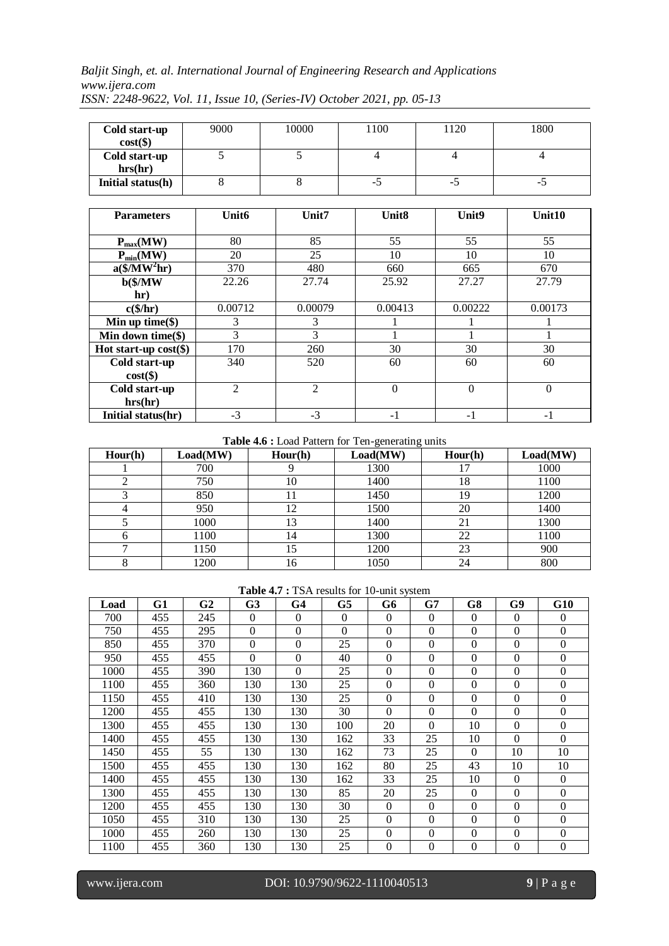| Cold start-up<br>$cost(\$))$ | 9000 | 10000 | 1100 | 1120 | 1800 |
|------------------------------|------|-------|------|------|------|
| Cold start-up<br>hrs(hr)     |      |       |      |      |      |
| Initial status(h)            |      |       | -0   | -0   | ت-   |

| <b>Parameters</b>           | Unit <sub>6</sub> | Unit7          | Unit <sub>8</sub> | Unit <sub>9</sub> | Unit10   |
|-----------------------------|-------------------|----------------|-------------------|-------------------|----------|
|                             |                   |                |                   |                   |          |
| $P_{max}(MW)$               | 80                | 85             | 55                | 55                | 55       |
| $P_{min}(MW)$               | 20                | 25             | 10                | 10                | 10       |
| $a$ (\$/MW <sup>2</sup> hr) | 370               | 480            | 660               | 665               | 670      |
| $b$ (\$/MW                  | 22.26             | 27.74          | 25.92             | 27.27             | 27.79    |
| hr)                         |                   |                |                   |                   |          |
| $c$ (\$/hr)                 | 0.00712           | 0.00079        | 0.00413           | 0.00222           | 0.00173  |
| Min up time $(\$)$          | 3                 | 3              |                   |                   |          |
| Min down time $(\$)$        | 3                 | 3              |                   |                   |          |
| Hot start-up $cost(\$)$     | 170               | 260            | 30                | 30                | 30       |
| Cold start-up               | 340               | 520            | 60                | 60                | 60       |
| $cost(\$))$                 |                   |                |                   |                   |          |
| Cold start-up               | $\mathfrak{D}$    | $\overline{2}$ | $\theta$          | $\Omega$          | $\theta$ |
| hrs(hr)                     |                   |                |                   |                   |          |
| Initial status(hr)          | $-3$              | $-3$           | $-1$              | $-1$              | $-1$     |

**Table 4.6 :** Load Pattern for Ten-generating units

| Hour(h) | Load(MW) | Hour(h) | Load(MW) | Hour(h) | Load(MW) |
|---------|----------|---------|----------|---------|----------|
|         | 700      |         | 1300     |         | 1000     |
|         | 750      | 10      | 1400     | 18      | 1100     |
|         | 850      | 11      | 1450     | 19      | 1200     |
|         | 950      | 12      | 1500     | 20      | 1400     |
|         | 1000     | 13      | 1400     | 21      | 1300     |
|         | 1100     | 14      | 1300     | 22      | 1100     |
|         | 1150     | 15      | 1200     | 23      | 900      |
|         | 1200     | 16      | 1050     | 24      | 800      |

**Table 4.7 :** TSA results for 10-unit system

| Load | G1  | G2  | G <sub>3</sub> | G <sub>4</sub>   | G5       | G6             | G7           | G8             | G9               | G10      |
|------|-----|-----|----------------|------------------|----------|----------------|--------------|----------------|------------------|----------|
| 700  | 455 | 245 | $\Omega$       | $\Omega$         | $\Omega$ | $\Omega$       | $\Omega$     | $\Omega$       | $\mathbf{0}$     | $\Omega$ |
| 750  | 455 | 295 | $\Omega$       | $\boldsymbol{0}$ | $\Omega$ | $\Omega$       | $\theta$     | $\Omega$       | $\boldsymbol{0}$ | $\Omega$ |
| 850  | 455 | 370 | $\Omega$       | $\mathbf{0}$     | 25       | $\Omega$       | $\theta$     | $\Omega$       | $\mathbf{0}$     | $\Omega$ |
| 950  | 455 | 455 | $\Omega$       | $\overline{0}$   | 40       | $\overline{0}$ | $\theta$     | $\mathbf{0}$   | $\mathbf{0}$     | $\Omega$ |
| 1000 | 455 | 390 | 130            | $\Omega$         | 25       | $\Omega$       | $\theta$     | $\theta$       | $\mathbf{0}$     | $\Omega$ |
| 1100 | 455 | 360 | 130            | 130              | 25       | $\Omega$       | $\theta$     | $\Omega$       | $\mathbf{0}$     | $\Omega$ |
| 1150 | 455 | 410 | 130            | 130              | 25       | $\Omega$       | $\theta$     | $\overline{0}$ | $\boldsymbol{0}$ | $\Omega$ |
| 1200 | 455 | 455 | 130            | 130              | 30       | $\Omega$       | $\mathbf{0}$ | $\mathbf{0}$   | $\mathbf{0}$     | $\theta$ |
| 1300 | 455 | 455 | 130            | 130              | 100      | 20             | $\Omega$     | 10             | $\mathbf{0}$     | $\Omega$ |
| 1400 | 455 | 455 | 130            | 130              | 162      | 33             | 25           | 10             | $\mathbf{0}$     | $\Omega$ |
| 1450 | 455 | 55  | 130            | 130              | 162      | 73             | 25           | $\overline{0}$ | 10               | 10       |
| 1500 | 455 | 455 | 130            | 130              | 162      | 80             | 25           | 43             | 10               | 10       |
| 1400 | 455 | 455 | 130            | 130              | 162      | 33             | 25           | 10             | $\Omega$         | $\Omega$ |
| 1300 | 455 | 455 | 130            | 130              | 85       | 20             | 25           | $\Omega$       | $\Omega$         | $\Omega$ |
| 1200 | 455 | 455 | 130            | 130              | 30       | $\Omega$       | $\Omega$     | $\Omega$       | $\boldsymbol{0}$ | $\Omega$ |
| 1050 | 455 | 310 | 130            | 130              | 25       | $\Omega$       | $\Omega$     | $\Omega$       | $\boldsymbol{0}$ | $\Omega$ |
| 1000 | 455 | 260 | 130            | 130              | 25       | $\Omega$       | $\Omega$     | $\Omega$       | $\mathbf{0}$     | $\Omega$ |
| 1100 | 455 | 360 | 130            | 130              | 25       | $\Omega$       | $\mathbf{0}$ | $\mathbf{0}$   | $\mathbf{0}$     | $\Omega$ |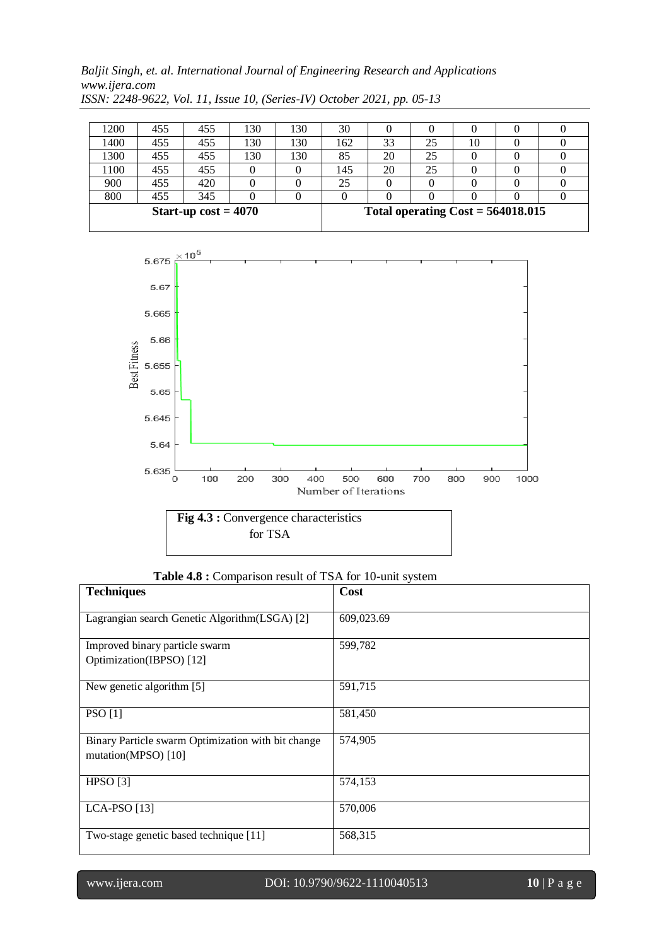| 1200                   | 455 | 455 | 130 | 130 | 30  |    |                                     |    |  |  |
|------------------------|-----|-----|-----|-----|-----|----|-------------------------------------|----|--|--|
| 1400                   | 455 | 455 | 130 | 130 | 162 | 33 | 25                                  | 10 |  |  |
| 1300                   | 455 | 455 | 130 | 130 | 85  | 20 | 25                                  |    |  |  |
| 1100                   | 455 | 455 |     |     | 145 | 20 | 25                                  |    |  |  |
| 900                    | 455 | 420 |     |     | 25  |    |                                     |    |  |  |
| 800                    | 455 | 345 |     |     |     |    |                                     |    |  |  |
| Start-up $cost = 4070$ |     |     |     |     |     |    | Total operating $Cost = 564018.015$ |    |  |  |



**Table 4.8 :** Comparison result of TSA for 10-unit system

| <b>Techniques</b>                                                         | Cost       |
|---------------------------------------------------------------------------|------------|
| Lagrangian search Genetic Algorithm(LSGA) [2]                             | 609,023.69 |
| Improved binary particle swarm<br>Optimization(IBPSO) [12]                | 599,782    |
| New genetic algorithm [5]                                                 | 591,715    |
| <b>PSO</b> [1]                                                            | 581,450    |
| Binary Particle swarm Optimization with bit change<br>mutation(MPSO) [10] | 574,905    |
| HPSO [3]                                                                  | 574,153    |
| <b>LCA-PSO</b> [13]                                                       | 570,006    |
| Two-stage genetic based technique [11]                                    | 568,315    |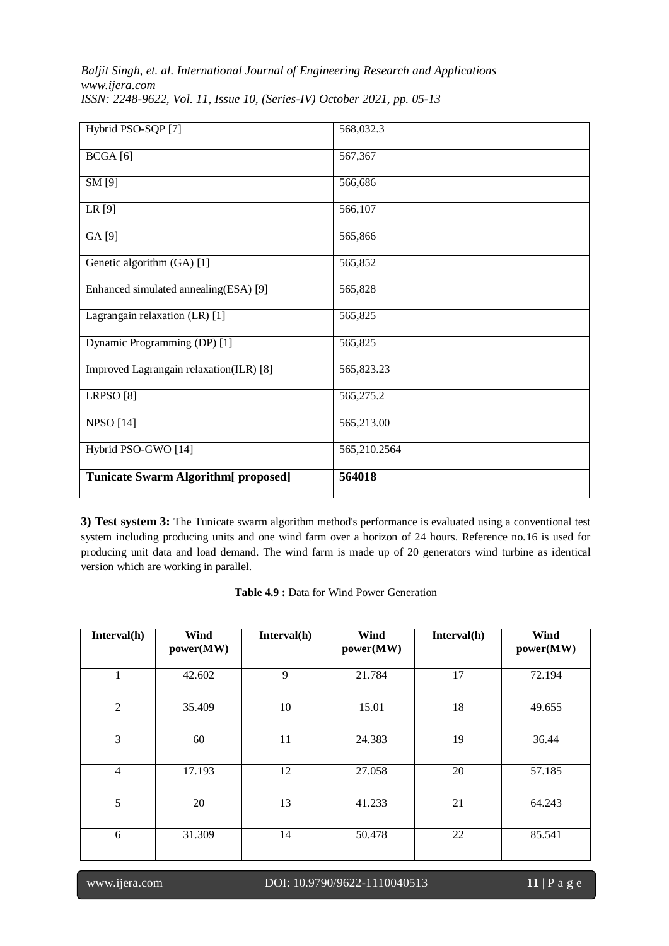| Hybrid PSO-SQP [7]                         | 568,032.3    |
|--------------------------------------------|--------------|
| BCGA[6]                                    | 567,367      |
| SM [9]                                     | 566,686      |
| LR [9]                                     | 566,107      |
| GA [9]                                     | 565,866      |
| Genetic algorithm (GA) [1]                 | 565,852      |
| Enhanced simulated annealing(ESA) [9]      | 565,828      |
| Lagrangain relaxation (LR) [1]             | 565,825      |
| Dynamic Programming (DP) [1]               | 565,825      |
| Improved Lagrangain relaxation(ILR) [8]    | 565,823.23   |
| LRPSO <sup>[8]</sup>                       | 565,275.2    |
| <b>NPSO</b> [14]                           | 565,213.00   |
| Hybrid PSO-GWO [14]                        | 565,210.2564 |
| <b>Tunicate Swarm Algorithm</b> [proposed] | 564018       |

**3) Test system 3:** The Tunicate swarm algorithm method's performance is evaluated using a conventional test system including producing units and one wind farm over a horizon of 24 hours. Reference no.16 is used for producing unit data and load demand. The wind farm is made up of 20 generators wind turbine as identical version which are working in parallel.

|  |  |  |  |  |  | <b>Table 4.9 : Data for Wind Power Generation</b> |
|--|--|--|--|--|--|---------------------------------------------------|
|--|--|--|--|--|--|---------------------------------------------------|

| Interval(h)    | Wind<br>power(MW) | Interval(h) | Wind<br>power(MW) | Interval(h) | Wind<br>power(MW) |
|----------------|-------------------|-------------|-------------------|-------------|-------------------|
| 1              | 42.602            | 9           | 21.784            | 17          | 72.194            |
| $\overline{2}$ | 35.409            | 10          | 15.01             | 18          | 49.655            |
| 3              | 60                | 11          | 24.383            | 19          | 36.44             |
| $\overline{4}$ | 17.193            | 12          | 27.058            | 20          | 57.185            |
| 5              | 20                | 13          | 41.233            | 21          | 64.243            |
| 6              | 31.309            | 14          | 50.478            | 22          | 85.541            |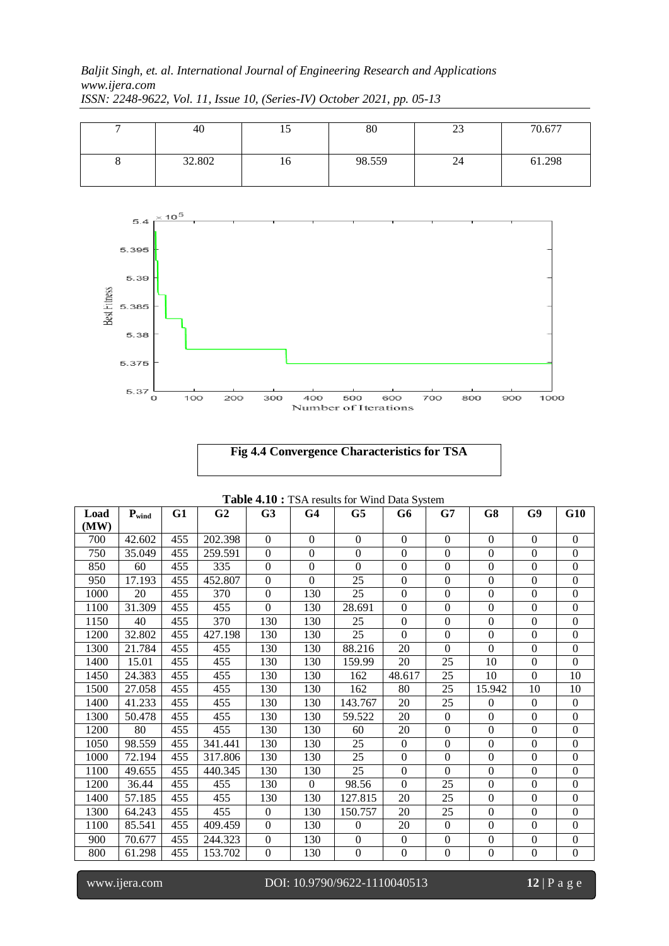| 40     |    | 80     | ر_ر | 70.677 |
|--------|----|--------|-----|--------|
| 32.802 | 10 | 98.559 | 24  | 61.298 |





| <b>Table 4.10 :</b> TSA results for Wind Data System |            |     |                |                  |                |                 |                  |                  |                  |                  |                  |
|------------------------------------------------------|------------|-----|----------------|------------------|----------------|-----------------|------------------|------------------|------------------|------------------|------------------|
| Load<br>(MW)                                         | $P_{wind}$ | G1  | G <sub>2</sub> | G <sub>3</sub>   | G <sub>4</sub> | G5              | G6               | G7               | G8               | G9               | G10              |
| 700                                                  | 42.602     | 455 | 202.398        | $\mathbf{0}$     | $\overline{0}$ | $\Omega$        | $\boldsymbol{0}$ | $\boldsymbol{0}$ | $\mathbf{0}$     | $\mathbf{0}$     | $\mathbf{0}$     |
| 750                                                  | 35.049     | 455 | 259.591        | $\overline{0}$   | $\mathbf{0}$   | $\Omega$        | $\boldsymbol{0}$ | $\overline{0}$   | $\boldsymbol{0}$ | $\mathbf{0}$     | $\mathbf{0}$     |
| 850                                                  | 60         | 455 | 335            | $\boldsymbol{0}$ | $\theta$       | $\Omega$        | $\boldsymbol{0}$ | $\overline{0}$   | $\boldsymbol{0}$ | $\mathbf{0}$     | $\boldsymbol{0}$ |
| 950                                                  | 17.193     | 455 | 452.807        | $\mathbf{0}$     | $\mathbf{0}$   | $\overline{25}$ | $\boldsymbol{0}$ | $\boldsymbol{0}$ | $\boldsymbol{0}$ | $\boldsymbol{0}$ | $\boldsymbol{0}$ |
| 1000                                                 | 20         | 455 | 370            | $\overline{0}$   | 130            | 25              | $\boldsymbol{0}$ | $\boldsymbol{0}$ | $\mathbf{0}$     | $\mathbf{0}$     | $\mathbf{0}$     |
| 1100                                                 | 31.309     | 455 | 455            | $\Omega$         | 130            | 28.691          | $\Omega$         | $\overline{0}$   | $\boldsymbol{0}$ | $\mathbf{0}$     | $\overline{0}$   |
| 1150                                                 | 40         | 455 | 370            | 130              | 130            | 25              | $\overline{0}$   | $\overline{0}$   | $\boldsymbol{0}$ | $\boldsymbol{0}$ | $\boldsymbol{0}$ |
| 1200                                                 | 32.802     | 455 | 427.198        | 130              | 130            | 25              | $\boldsymbol{0}$ | $\boldsymbol{0}$ | $\boldsymbol{0}$ | $\mathbf{0}$     | $\boldsymbol{0}$ |
| 1300                                                 | 21.784     | 455 | 455            | 130              | 130            | 88.216          | 20               | $\Omega$         | $\Omega$         | $\mathbf{0}$     | $\mathbf{0}$     |
| 1400                                                 | 15.01      | 455 | 455            | 130              | 130            | 159.99          | 20               | 25               | 10               | $\mathbf{0}$     | $\mathbf{0}$     |
| 1450                                                 | 24.383     | 455 | 455            | 130              | 130            | 162             | 48.617           | 25               | 10               | $\boldsymbol{0}$ | 10               |
| 1500                                                 | 27.058     | 455 | 455            | 130              | 130            | 162             | 80               | 25               | 15.942           | 10               | 10               |
| 1400                                                 | 41.233     | 455 | 455            | 130              | 130            | 143.767         | 20               | 25               | $\boldsymbol{0}$ | $\mathbf{0}$     | $\boldsymbol{0}$ |
| 1300                                                 | 50.478     | 455 | 455            | 130              | 130            | 59.522          | 20               | $\boldsymbol{0}$ | $\boldsymbol{0}$ | $\boldsymbol{0}$ | $\boldsymbol{0}$ |
| 1200                                                 | 80         | 455 | 455            | 130              | 130            | 60              | 20               | $\overline{0}$   | $\boldsymbol{0}$ | $\boldsymbol{0}$ | $\mathbf{0}$     |
| 1050                                                 | 98.559     | 455 | 341.441        | 130              | 130            | 25              | $\overline{0}$   | $\overline{0}$   | $\boldsymbol{0}$ | $\mathbf{0}$     | $\boldsymbol{0}$ |
| 1000                                                 | 72.194     | 455 | 317.806        | 130              | 130            | 25              | $\boldsymbol{0}$ | $\boldsymbol{0}$ | $\boldsymbol{0}$ | $\boldsymbol{0}$ | $\mathbf{0}$     |
| 1100                                                 | 49.655     | 455 | 440.345        | 130              | 130            | 25              | $\boldsymbol{0}$ | $\Omega$         | $\mathbf{0}$     | $\mathbf{0}$     | $\mathbf{0}$     |
| 1200                                                 | 36.44      | 455 | 455            | 130              | $\overline{0}$ | 98.56           | $\Omega$         | 25               | $\boldsymbol{0}$ | $\mathbf{0}$     | $\mathbf{0}$     |
| 1400                                                 | 57.185     | 455 | 455            | 130              | 130            | 127.815         | 20               | 25               | $\boldsymbol{0}$ | $\boldsymbol{0}$ | $\boldsymbol{0}$ |
| 1300                                                 | 64.243     | 455 | 455            | $\boldsymbol{0}$ | 130            | 150.757         | 20               | 25               | $\boldsymbol{0}$ | $\mathbf{0}$     | $\boldsymbol{0}$ |
| 1100                                                 | 85.541     | 455 | 409.459        | $\mathbf{0}$     | 130            | $\Omega$        | 20               | $\boldsymbol{0}$ | $\boldsymbol{0}$ | $\mathbf{0}$     | $\mathbf{0}$     |
| 900                                                  | 70.677     | 455 | 244.323        | $\overline{0}$   | 130            | $\Omega$        | $\overline{0}$   | $\overline{0}$   | $\mathbf{0}$     | $\mathbf{0}$     | $\boldsymbol{0}$ |
| 800                                                  | 61.298     | 455 | 153.702        | $\overline{0}$   | 130            | $\Omega$        | $\overline{0}$   | $\overline{0}$   | $\boldsymbol{0}$ | $\boldsymbol{0}$ | $\boldsymbol{0}$ |

**Table 4.10 :** TSA results for Wind Data System

l

www.ijera.com DOI: 10.9790/9622-1110040513 **12** | P a g e